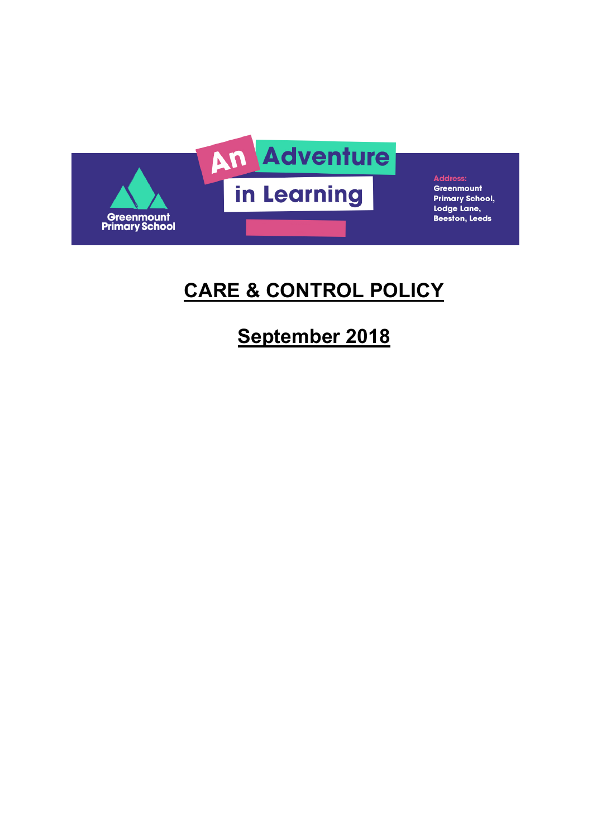

**Address:** Greenmount

**Primary School,** Lodge Lane, **Beeston, Leeds** 

# **CARE & CONTROL POLICY**

# **September 2018**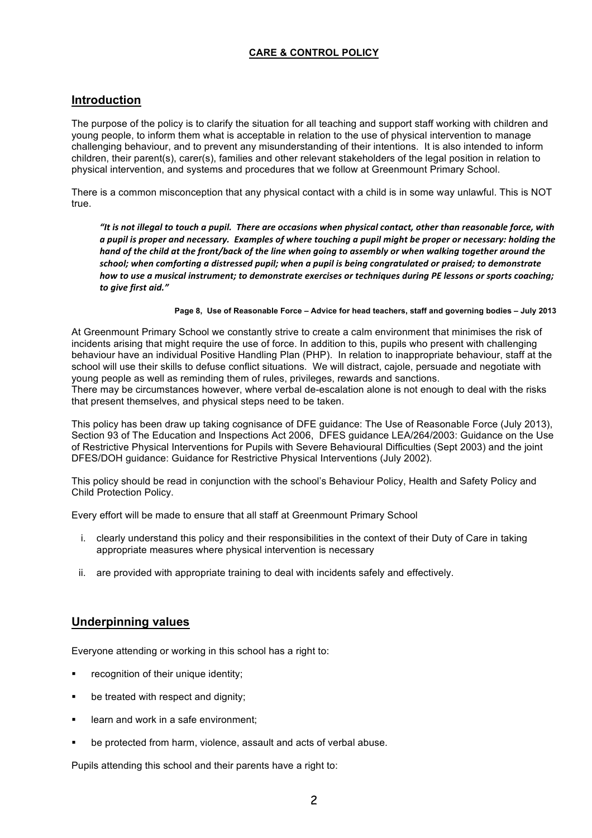## **CARE & CONTROL POLICY**

# **Introduction**

The purpose of the policy is to clarify the situation for all teaching and support staff working with children and young people, to inform them what is acceptable in relation to the use of physical intervention to manage challenging behaviour, and to prevent any misunderstanding of their intentions. It is also intended to inform children, their parent(s), carer(s), families and other relevant stakeholders of the legal position in relation to physical intervention, and systems and procedures that we follow at Greenmount Primary School.

There is a common misconception that any physical contact with a child is in some way unlawful. This is NOT true.

"It is not illegal to touch a pupil. There are occasions when physical contact, other than reasonable force, with *a* pupil is proper and necessary. Examples of where touching a pupil might be proper or necessary: holding the *hand* of the child at the front/back of the line when going to assembly or when walking together around the school; when comforting a distressed pupil; when a pupil is being congratulated or praised; to demonstrate *how to use a musical instrument; to demonstrate exercises or techniques during PE lessons or sports coaching; to give first aid."*

#### **Page 8, Use of Reasonable Force – Advice for head teachers, staff and governing bodies – July 2013**

At Greenmount Primary School we constantly strive to create a calm environment that minimises the risk of incidents arising that might require the use of force. In addition to this, pupils who present with challenging behaviour have an individual Positive Handling Plan (PHP). In relation to inappropriate behaviour, staff at the school will use their skills to defuse conflict situations. We will distract, cajole, persuade and negotiate with young people as well as reminding them of rules, privileges, rewards and sanctions.

There may be circumstances however, where verbal de-escalation alone is not enough to deal with the risks that present themselves, and physical steps need to be taken.

This policy has been draw up taking cognisance of DFE guidance: The Use of Reasonable Force (July 2013), Section 93 of The Education and Inspections Act 2006, DFES guidance LEA/264/2003: Guidance on the Use of Restrictive Physical Interventions for Pupils with Severe Behavioural Difficulties (Sept 2003) and the joint DFES/DOH guidance: Guidance for Restrictive Physical Interventions (July 2002).

This policy should be read in conjunction with the school's Behaviour Policy, Health and Safety Policy and Child Protection Policy.

Every effort will be made to ensure that all staff at Greenmount Primary School

- i. clearly understand this policy and their responsibilities in the context of their Duty of Care in taking appropriate measures where physical intervention is necessary
- ii. are provided with appropriate training to deal with incidents safely and effectively.

# **Underpinning values**

Everyone attending or working in this school has a right to:

- recognition of their unique identity;
- be treated with respect and dignity;
- learn and work in a safe environment:
- be protected from harm, violence, assault and acts of verbal abuse.

Pupils attending this school and their parents have a right to: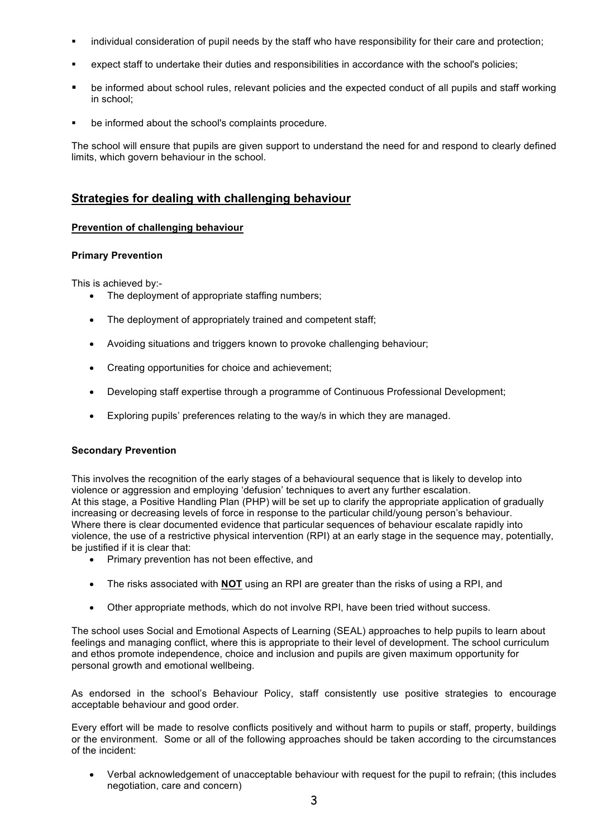- individual consideration of pupil needs by the staff who have responsibility for their care and protection;
- expect staff to undertake their duties and responsibilities in accordance with the school's policies;
- be informed about school rules, relevant policies and the expected conduct of all pupils and staff working in school;
- be informed about the school's complaints procedure.

The school will ensure that pupils are given support to understand the need for and respond to clearly defined limits, which govern behaviour in the school.

# **Strategies for dealing with challenging behaviour**

## **Prevention of challenging behaviour**

## **Primary Prevention**

This is achieved by:-

- The deployment of appropriate staffing numbers;
- The deployment of appropriately trained and competent staff;
- Avoiding situations and triggers known to provoke challenging behaviour;
- Creating opportunities for choice and achievement;
- Developing staff expertise through a programme of Continuous Professional Development;
- Exploring pupils' preferences relating to the way/s in which they are managed.

## **Secondary Prevention**

This involves the recognition of the early stages of a behavioural sequence that is likely to develop into violence or aggression and employing 'defusion' techniques to avert any further escalation. At this stage, a Positive Handling Plan (PHP) will be set up to clarify the appropriate application of gradually increasing or decreasing levels of force in response to the particular child/young person's behaviour. Where there is clear documented evidence that particular sequences of behaviour escalate rapidly into violence, the use of a restrictive physical intervention (RPI) at an early stage in the sequence may, potentially, be justified if it is clear that:

- Primary prevention has not been effective, and
- The risks associated with **NOT** using an RPI are greater than the risks of using a RPI, and
- Other appropriate methods, which do not involve RPI, have been tried without success.

The school uses Social and Emotional Aspects of Learning (SEAL) approaches to help pupils to learn about feelings and managing conflict, where this is appropriate to their level of development. The school curriculum and ethos promote independence, choice and inclusion and pupils are given maximum opportunity for personal growth and emotional wellbeing.

As endorsed in the school's Behaviour Policy, staff consistently use positive strategies to encourage acceptable behaviour and good order.

Every effort will be made to resolve conflicts positively and without harm to pupils or staff, property, buildings or the environment. Some or all of the following approaches should be taken according to the circumstances of the incident:

• Verbal acknowledgement of unacceptable behaviour with request for the pupil to refrain; (this includes negotiation, care and concern)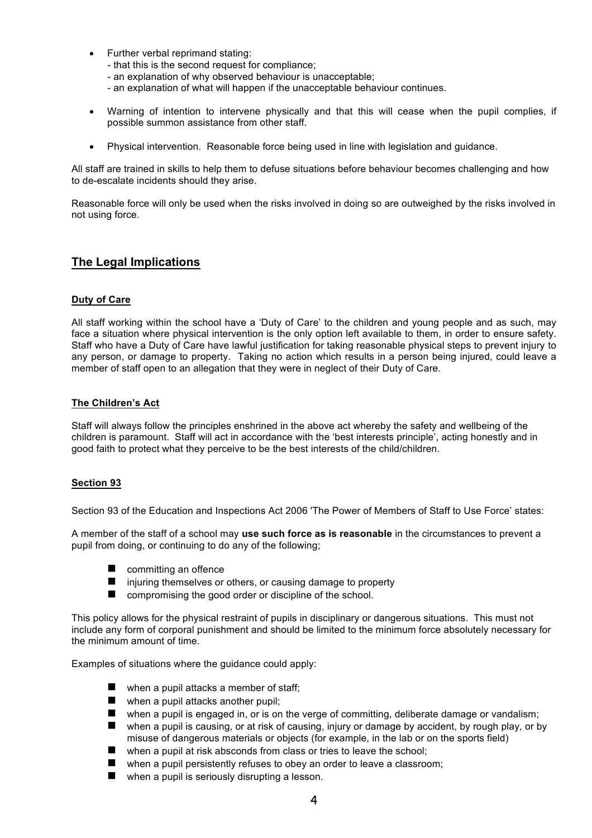- Further verbal reprimand stating:
	- that this is the second request for compliance;
	- an explanation of why observed behaviour is unacceptable;
	- an explanation of what will happen if the unacceptable behaviour continues.
- Warning of intention to intervene physically and that this will cease when the pupil complies, if possible summon assistance from other staff.
- Physical intervention. Reasonable force being used in line with legislation and guidance.

All staff are trained in skills to help them to defuse situations before behaviour becomes challenging and how to de-escalate incidents should they arise.

Reasonable force will only be used when the risks involved in doing so are outweighed by the risks involved in not using force.

# **The Legal Implications**

## **Duty of Care**

All staff working within the school have a 'Duty of Care' to the children and young people and as such, may face a situation where physical intervention is the only option left available to them, in order to ensure safety. Staff who have a Duty of Care have lawful justification for taking reasonable physical steps to prevent injury to any person, or damage to property. Taking no action which results in a person being injured, could leave a member of staff open to an allegation that they were in neglect of their Duty of Care.

## **The Children's Act**

Staff will always follow the principles enshrined in the above act whereby the safety and wellbeing of the children is paramount. Staff will act in accordance with the 'best interests principle', acting honestly and in good faith to protect what they perceive to be the best interests of the child/children.

## **Section 93**

Section 93 of the Education and Inspections Act 2006 'The Power of Members of Staff to Use Force' states:

A member of the staff of a school may **use such force as is reasonable** in the circumstances to prevent a pupil from doing, or continuing to do any of the following;

- $\blacksquare$  committing an offence
- $\blacksquare$  injuring themselves or others, or causing damage to property
- $\Box$  compromising the good order or discipline of the school.

This policy allows for the physical restraint of pupils in disciplinary or dangerous situations. This must not include any form of corporal punishment and should be limited to the minimum force absolutely necessary for the minimum amount of time.

Examples of situations where the guidance could apply:

- $\blacksquare$  when a pupil attacks a member of staff;
- $\blacksquare$  when a pupil attacks another pupil;
- when a pupil is engaged in, or is on the verge of committing, deliberate damage or vandalism;
- $\blacksquare$  when a pupil is causing, or at risk of causing, injury or damage by accident, by rough play, or by misuse of dangerous materials or objects (for example, in the lab or on the sports field)
- $\blacksquare$  when a pupil at risk absconds from class or tries to leave the school;
- $\blacksquare$  when a pupil persistently refuses to obey an order to leave a classroom;
- $\blacksquare$  when a pupil is seriously disrupting a lesson.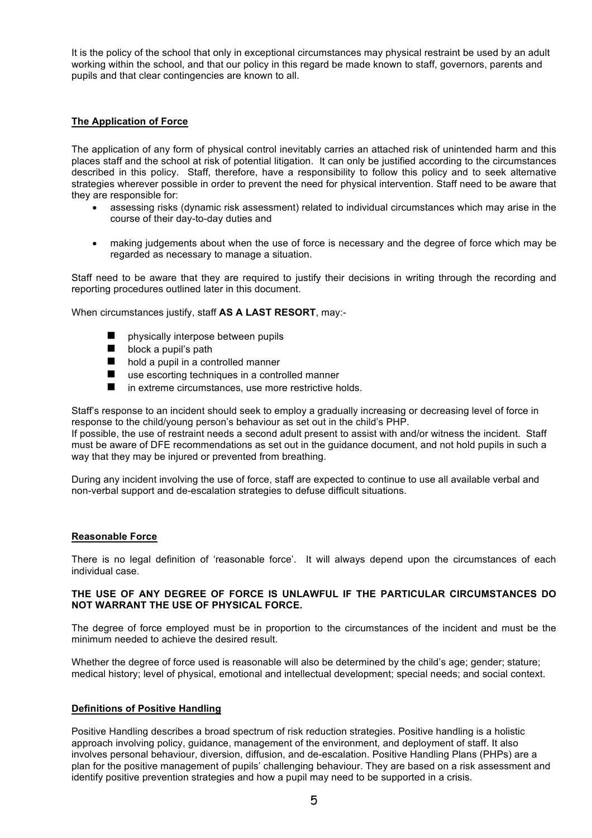It is the policy of the school that only in exceptional circumstances may physical restraint be used by an adult working within the school, and that our policy in this regard be made known to staff, governors, parents and pupils and that clear contingencies are known to all.

## **The Application of Force**

The application of any form of physical control inevitably carries an attached risk of unintended harm and this places staff and the school at risk of potential litigation. It can only be justified according to the circumstances described in this policy. Staff, therefore, have a responsibility to follow this policy and to seek alternative strategies wherever possible in order to prevent the need for physical intervention. Staff need to be aware that they are responsible for:

- assessing risks (dynamic risk assessment) related to individual circumstances which may arise in the course of their day-to-day duties and
- making judgements about when the use of force is necessary and the degree of force which may be regarded as necessary to manage a situation.

Staff need to be aware that they are required to justify their decisions in writing through the recording and reporting procedures outlined later in this document.

When circumstances justify, staff **AS A LAST RESORT**, may:-

- $\blacksquare$  physically interpose between pupils
- $\blacksquare$  block a pupil's path
- $\blacksquare$  hold a pupil in a controlled manner
- $\blacksquare$  use escorting techniques in a controlled manner
- $\blacksquare$  in extreme circumstances, use more restrictive holds.

Staff's response to an incident should seek to employ a gradually increasing or decreasing level of force in response to the child/young person's behaviour as set out in the child's PHP.

If possible, the use of restraint needs a second adult present to assist with and/or witness the incident. Staff must be aware of DFE recommendations as set out in the guidance document, and not hold pupils in such a way that they may be injured or prevented from breathing.

During any incident involving the use of force, staff are expected to continue to use all available verbal and non-verbal support and de-escalation strategies to defuse difficult situations.

#### **Reasonable Force**

There is no legal definition of 'reasonable force'. It will always depend upon the circumstances of each individual case.

## **THE USE OF ANY DEGREE OF FORCE IS UNLAWFUL IF THE PARTICULAR CIRCUMSTANCES DO NOT WARRANT THE USE OF PHYSICAL FORCE.**

The degree of force employed must be in proportion to the circumstances of the incident and must be the minimum needed to achieve the desired result.

Whether the degree of force used is reasonable will also be determined by the child's age; gender; stature; medical history; level of physical, emotional and intellectual development; special needs; and social context.

#### **Definitions of Positive Handling**

Positive Handling describes a broad spectrum of risk reduction strategies. Positive handling is a holistic approach involving policy, guidance, management of the environment, and deployment of staff. It also involves personal behaviour, diversion, diffusion, and de-escalation. Positive Handling Plans (PHPs) are a plan for the positive management of pupils' challenging behaviour. They are based on a risk assessment and identify positive prevention strategies and how a pupil may need to be supported in a crisis.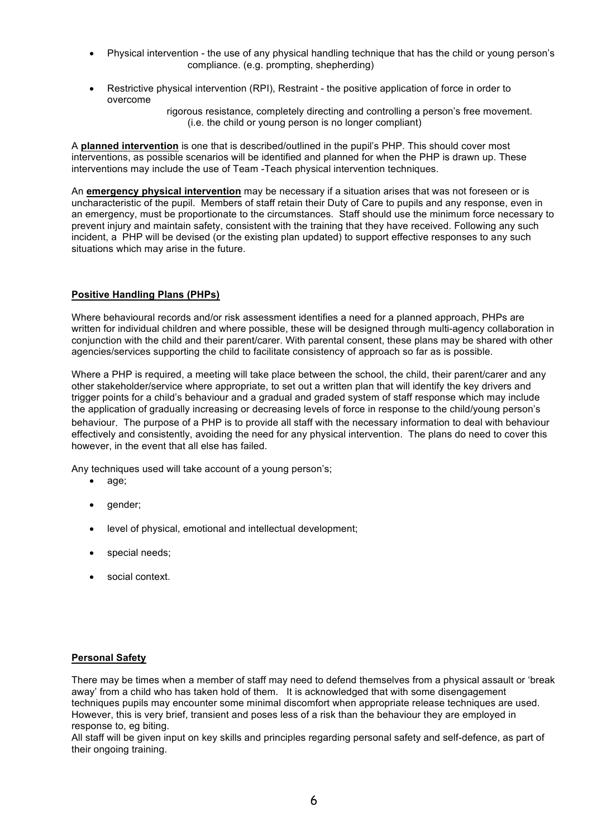- Physical intervention the use of any physical handling technique that has the child or young person's compliance. (e.g. prompting, shepherding)
- Restrictive physical intervention (RPI), Restraint the positive application of force in order to overcome

 rigorous resistance, completely directing and controlling a person's free movement. (i.e. the child or young person is no longer compliant)

A **planned intervention** is one that is described/outlined in the pupil's PHP. This should cover most interventions, as possible scenarios will be identified and planned for when the PHP is drawn up. These interventions may include the use of Team -Teach physical intervention techniques.

An **emergency physical intervention** may be necessary if a situation arises that was not foreseen or is uncharacteristic of the pupil. Members of staff retain their Duty of Care to pupils and any response, even in an emergency, must be proportionate to the circumstances. Staff should use the minimum force necessary to prevent injury and maintain safety, consistent with the training that they have received. Following any such incident, a PHP will be devised (or the existing plan updated) to support effective responses to any such situations which may arise in the future.

## **Positive Handling Plans (PHPs)**

Where behavioural records and/or risk assessment identifies a need for a planned approach, PHPs are written for individual children and where possible, these will be designed through multi-agency collaboration in conjunction with the child and their parent/carer. With parental consent, these plans may be shared with other agencies/services supporting the child to facilitate consistency of approach so far as is possible.

Where a PHP is required, a meeting will take place between the school, the child, their parent/carer and any other stakeholder/service where appropriate, to set out a written plan that will identify the key drivers and trigger points for a child's behaviour and a gradual and graded system of staff response which may include the application of gradually increasing or decreasing levels of force in response to the child/young person's behaviour. The purpose of a PHP is to provide all staff with the necessary information to deal with behaviour effectively and consistently, avoiding the need for any physical intervention. The plans do need to cover this however, in the event that all else has failed.

Any techniques used will take account of a young person's;

- age;
- gender;
- level of physical, emotional and intellectual development;
- special needs:
- social context.

## **Personal Safety**

There may be times when a member of staff may need to defend themselves from a physical assault or 'break away' from a child who has taken hold of them. It is acknowledged that with some disengagement techniques pupils may encounter some minimal discomfort when appropriate release techniques are used. However, this is very brief, transient and poses less of a risk than the behaviour they are employed in response to, eg biting.

All staff will be given input on key skills and principles regarding personal safety and self-defence, as part of their ongoing training.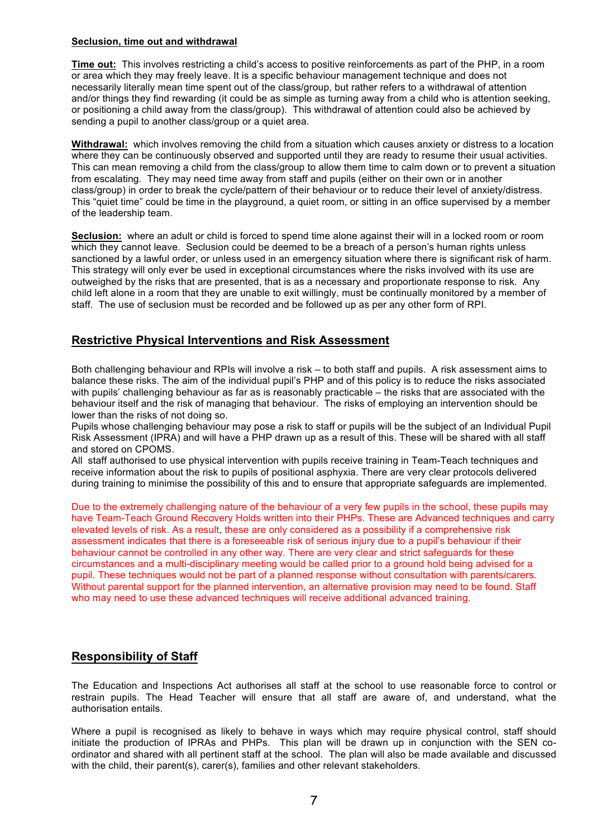## **Seclusion, time out and withdrawal**

**Time out:** This involves restricting a child's access to positive reinforcements as part of the PHP, in a room or area which they may freely leave. It is a specific behaviour management technique and does not necessarily literally mean time spent out of the class/group, but rather refers to a withdrawal of attention and/or things they find rewarding (it could be as simple as turning away from a child who is attention seeking, or positioning a child away from the class/group). This withdrawal of attention could also be achieved by sending a pupil to another class/group or a quiet area.

**Withdrawal:** which involves removing the child from a situation which causes anxiety or distress to a location where they can be continuously observed and supported until they are ready to resume their usual activities. This can mean removing a child from the class/group to allow them time to calm down or to prevent a situation from escalating. They may need time away from staff and pupils (either on their own or in another class/group) in order to break the cycle/pattern of their behaviour or to reduce their level of anxiety/distress. This "quiet time" could be time in the playground, a quiet room, or sitting in an office supervised by a member of the leadership team.

**Seclusion:** where an adult or child is forced to spend time alone against their will in a locked room or room which they cannot leave. Seclusion could be deemed to be a breach of a person's human rights unless sanctioned by a lawful order, or unless used in an emergency situation where there is significant risk of harm. This strategy will only ever be used in exceptional circumstances where the risks involved with its use are outweighed by the risks that are presented, that is as a necessary and proportionate response to risk. Any child left alone in a room that they are unable to exit willingly, must be continually monitored by a member of staff. The use of seclusion must be recorded and be followed up as per any other form of RPI.

# **Restrictive Physical Interventions and Risk Assessment**

Both challenging behaviour and RPIs will involve a risk – to both staff and pupils. A risk assessment aims to balance these risks. The aim of the individual pupil's PHP and of this policy is to reduce the risks associated with pupils' challenging behaviour as far as is reasonably practicable – the risks that are associated with the behaviour itself and the risk of managing that behaviour. The risks of employing an intervention should be lower than the risks of not doing so.

Pupils whose challenging behaviour may pose a risk to staff or pupils will be the subject of an Individual Pupil Risk Assessment (IPRA) and will have a PHP drawn up as a result of this. These will be shared with all staff and stored on CPOMS.

All staff authorised to use physical intervention with pupils receive training in Team-Teach techniques and receive information about the risk to pupils of positional asphyxia. There are very clear protocols delivered during training to minimise the possibility of this and to ensure that appropriate safeguards are implemented.

Due to the extremely challenging nature of the behaviour of a very few pupils in the school, these pupils may have Team-Teach Ground Recovery Holds written into their PHPs. These are Advanced techniques and carry elevated levels of risk. As a result, these are only considered as a possibility if a comprehensive risk assessment indicates that there is a foreseeable risk of serious injury due to a pupil's behaviour if their behaviour cannot be controlled in any other way. There are very clear and strict safeguards for these circumstances and a multi-disciplinary meeting would be called prior to a ground hold being advised for a pupil. These techniques would not be part of a planned response without consultation with parents/carers. Without parental support for the planned intervention, an alternative provision may need to be found. Staff who may need to use these advanced techniques will receive additional advanced training.

# **Responsibility of Staff**

The Education and Inspections Act authorises all staff at the school to use reasonable force to control or restrain pupils. The Head Teacher will ensure that all staff are aware of, and understand, what the authorisation entails.

Where a pupil is recognised as likely to behave in ways which may require physical control, staff should initiate the production of IPRAs and PHPs. This plan will be drawn up in conjunction with the SEN coordinator and shared with all pertinent staff at the school. The plan will also be made available and discussed with the child, their parent(s), carer(s), families and other relevant stakeholders.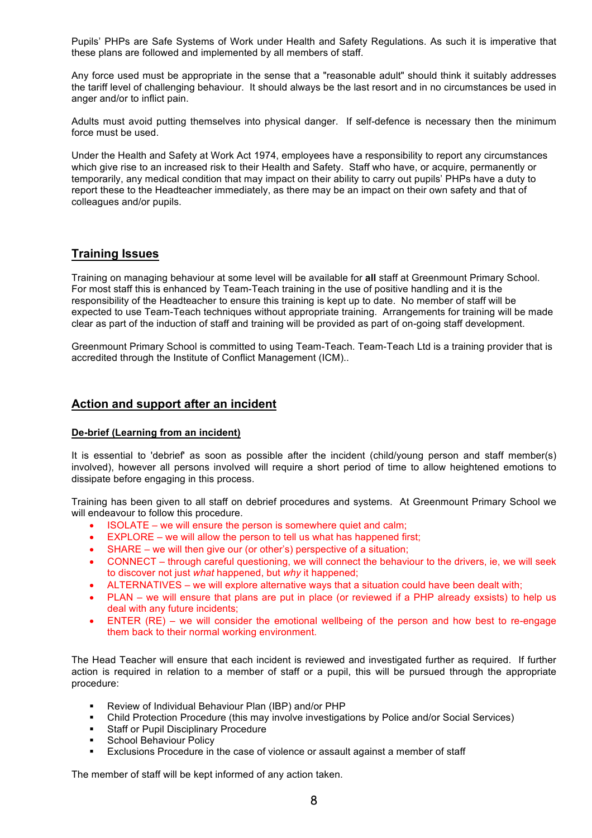Pupils' PHPs are Safe Systems of Work under Health and Safety Regulations. As such it is imperative that these plans are followed and implemented by all members of staff.

Any force used must be appropriate in the sense that a "reasonable adult" should think it suitably addresses the tariff level of challenging behaviour. It should always be the last resort and in no circumstances be used in anger and/or to inflict pain.

Adults must avoid putting themselves into physical danger. If self-defence is necessary then the minimum force must be used.

Under the Health and Safety at Work Act 1974, employees have a responsibility to report any circumstances which give rise to an increased risk to their Health and Safety. Staff who have, or acquire, permanently or temporarily, any medical condition that may impact on their ability to carry out pupils' PHPs have a duty to report these to the Headteacher immediately, as there may be an impact on their own safety and that of colleagues and/or pupils.

# **Training Issues**

Training on managing behaviour at some level will be available for **all** staff at Greenmount Primary School. For most staff this is enhanced by Team-Teach training in the use of positive handling and it is the responsibility of the Headteacher to ensure this training is kept up to date. No member of staff will be expected to use Team-Teach techniques without appropriate training. Arrangements for training will be made clear as part of the induction of staff and training will be provided as part of on-going staff development.

Greenmount Primary School is committed to using Team-Teach. Team-Teach Ltd is a training provider that is accredited through the Institute of Conflict Management (ICM)..

# **Action and support after an incident**

#### **De-brief (Learning from an incident)**

It is essential to 'debrief' as soon as possible after the incident (child/young person and staff member(s) involved), however all persons involved will require a short period of time to allow heightened emotions to dissipate before engaging in this process.

Training has been given to all staff on debrief procedures and systems. At Greenmount Primary School we will endeavour to follow this procedure.

- ISOLATE we will ensure the person is somewhere quiet and calm;
- EXPLORE we will allow the person to tell us what has happened first;
- SHARE we will then give our (or other's) perspective of a situation;
- CONNECT through careful questioning, we will connect the behaviour to the drivers, ie, we will seek to discover not just *what* happened, but *why* it happened;
- ALTERNATIVES we will explore alternative ways that a situation could have been dealt with;
- PLAN we will ensure that plans are put in place (or reviewed if a PHP already exsists) to help us deal with any future incidents;
- ENTER (RE) we will consider the emotional wellbeing of the person and how best to re-engage them back to their normal working environment.

The Head Teacher will ensure that each incident is reviewed and investigated further as required. If further action is required in relation to a member of staff or a pupil, this will be pursued through the appropriate procedure:

- Review of Individual Behaviour Plan (IBP) and/or PHP
- Child Protection Procedure (this may involve investigations by Police and/or Social Services)
- Staff or Pupil Disciplinary Procedure
- § School Behaviour Policy
- Exclusions Procedure in the case of violence or assault against a member of staff

The member of staff will be kept informed of any action taken.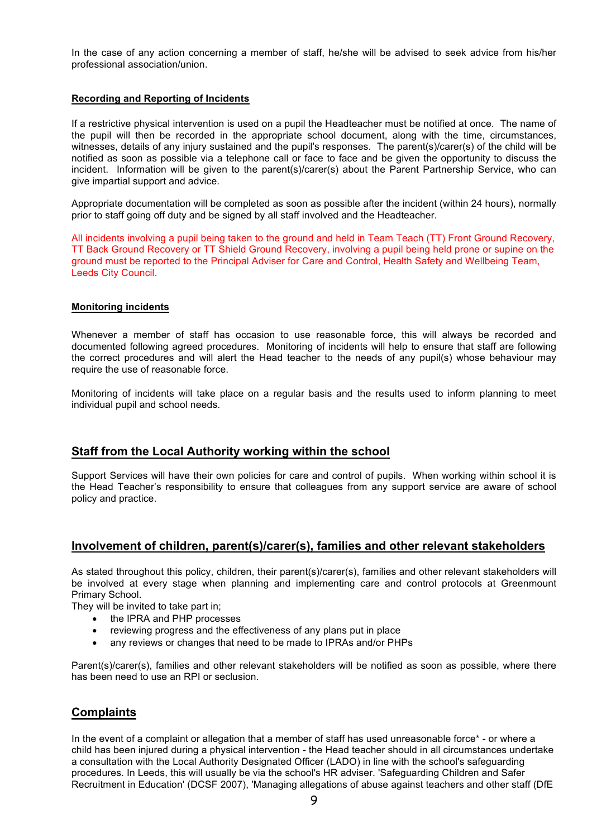In the case of any action concerning a member of staff, he/she will be advised to seek advice from his/her professional association/union.

## **Recording and Reporting of Incidents**

If a restrictive physical intervention is used on a pupil the Headteacher must be notified at once. The name of the pupil will then be recorded in the appropriate school document, along with the time, circumstances, witnesses, details of any injury sustained and the pupil's responses. The parent(s)/carer(s) of the child will be notified as soon as possible via a telephone call or face to face and be given the opportunity to discuss the incident. Information will be given to the parent(s)/carer(s) about the Parent Partnership Service, who can give impartial support and advice.

Appropriate documentation will be completed as soon as possible after the incident (within 24 hours), normally prior to staff going off duty and be signed by all staff involved and the Headteacher.

All incidents involving a pupil being taken to the ground and held in Team Teach (TT) Front Ground Recovery, TT Back Ground Recovery or TT Shield Ground Recovery, involving a pupil being held prone or supine on the ground must be reported to the Principal Adviser for Care and Control, Health Safety and Wellbeing Team, Leeds City Council.

#### **Monitoring incidents**

Whenever a member of staff has occasion to use reasonable force, this will always be recorded and documented following agreed procedures. Monitoring of incidents will help to ensure that staff are following the correct procedures and will alert the Head teacher to the needs of any pupil(s) whose behaviour may require the use of reasonable force.

Monitoring of incidents will take place on a regular basis and the results used to inform planning to meet individual pupil and school needs.

# **Staff from the Local Authority working within the school**

Support Services will have their own policies for care and control of pupils. When working within school it is the Head Teacher's responsibility to ensure that colleagues from any support service are aware of school policy and practice.

# **Involvement of children, parent(s)/carer(s), families and other relevant stakeholders**

As stated throughout this policy, children, their parent(s)/carer(s), families and other relevant stakeholders will be involved at every stage when planning and implementing care and control protocols at Greenmount Primary School.

They will be invited to take part in;

- the IPRA and PHP processes
- reviewing progress and the effectiveness of any plans put in place
- any reviews or changes that need to be made to IPRAs and/or PHPs

Parent(s)/carer(s), families and other relevant stakeholders will be notified as soon as possible, where there has been need to use an RPI or seclusion.

# **Complaints**

In the event of a complaint or allegation that a member of staff has used unreasonable force\* - or where a child has been injured during a physical intervention - the Head teacher should in all circumstances undertake a consultation with the Local Authority Designated Officer (LADO) in line with the school's safeguarding procedures. In Leeds, this will usually be via the school's HR adviser. 'Safeguarding Children and Safer Recruitment in Education' (DCSF 2007), 'Managing allegations of abuse against teachers and other staff (DfE